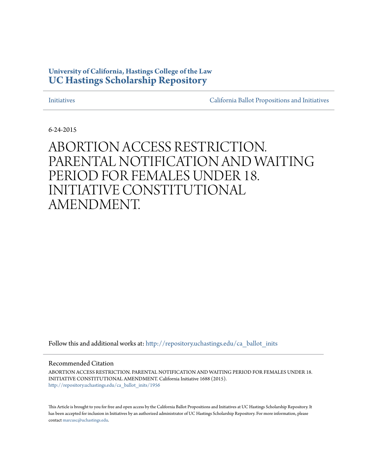# **University of California, Hastings College of the Law [UC Hastings Scholarship Repository](http://repository.uchastings.edu?utm_source=repository.uchastings.edu%2Fca_ballot_inits%2F1956&utm_medium=PDF&utm_campaign=PDFCoverPages)**

[Initiatives](http://repository.uchastings.edu/ca_ballot_inits?utm_source=repository.uchastings.edu%2Fca_ballot_inits%2F1956&utm_medium=PDF&utm_campaign=PDFCoverPages) [California Ballot Propositions and Initiatives](http://repository.uchastings.edu/ca_ballots?utm_source=repository.uchastings.edu%2Fca_ballot_inits%2F1956&utm_medium=PDF&utm_campaign=PDFCoverPages)

6-24-2015

# ABORTION ACCESS RESTRICTION. PARENTAL NOTIFICATION AND WAITING PERIOD FOR FEMALES UNDER 18. INITIATIVE CONSTITUTIONAL AMENDMENT.

Follow this and additional works at: [http://repository.uchastings.edu/ca\\_ballot\\_inits](http://repository.uchastings.edu/ca_ballot_inits?utm_source=repository.uchastings.edu%2Fca_ballot_inits%2F1956&utm_medium=PDF&utm_campaign=PDFCoverPages)

#### Recommended Citation

ABORTION ACCESS RESTRICTION. PARENTAL NOTIFICATION AND WAITING PERIOD FOR FEMALES UNDER 18. INITIATIVE CONSTITUTIONAL AMENDMENT. California Initiative 1688 (2015). [http://repository.uchastings.edu/ca\\_ballot\\_inits/1956](http://repository.uchastings.edu/ca_ballot_inits/1956?utm_source=repository.uchastings.edu%2Fca_ballot_inits%2F1956&utm_medium=PDF&utm_campaign=PDFCoverPages)

This Article is brought to you for free and open access by the California Ballot Propositions and Initiatives at UC Hastings Scholarship Repository. It has been accepted for inclusion in Initiatives by an authorized administrator of UC Hastings Scholarship Repository. For more information, please contact [marcusc@uchastings.edu](mailto:marcusc@uchastings.edu).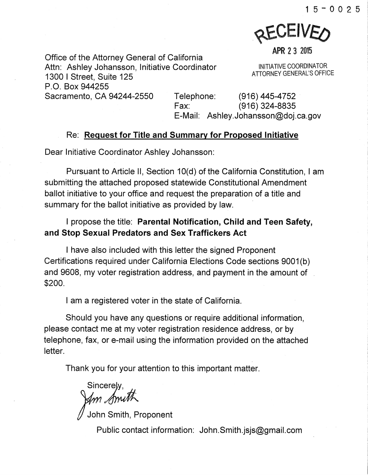**AEAFIAEO** 

APR 2 3 2015

Office of the Attorney General of California Attn: Ashley Johansson, Initiative Coordinator 1300 I Street, Suite 125 P. 0. Box 944255 Sacramento, CA 94244-2550 Telephone: (916) 445-4752

INITIATIVE COORDINATOR ATTORNEY GENERAL'S OFFICE

Fax: (916) 324-8835 E-Mail: Ashley.Johansson@doj.ca.gov

# Re: Request for Title and Summary for Proposed Initiative

Dear Initiative Coordinator Ashley Johansson:

Pursuant to Article II, Section 10(d) of the California Constitution, I am submitting the attached proposed statewide Constitutional Amendment ballot initiative to your office and request the preparation of a title and summary for the ballot initiative as provided by law.

# I propose the title: Parental Notification, Child and Teen Safety, and Stop Sexual Predators and Sex Traffickers Act

I have also included with this letter the signed Proponent Certifications required under California Elections Code sections 9001 (b) and 9608, my voter registration address, and payment in the amount of \$200.

I am a registered voter in the state of California.

Should you have any questions or require additional information, please contact me at my voter registration residence address, or by telephone, fax, or e-mail using the information provided on the attached letter.

Thank you for your attention to this important matter.

Sincerely,<br>*Sm Amuth* 

John Smith, Proponent

Public contact information: John.Smith.jsjs@gmail.com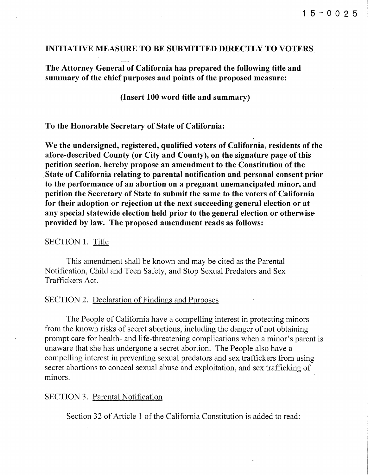#### INITIATIVE MEASURE TO BE SUBMITTED DIRECTLY TO VOTERS

The Attorney General of California has prepared the following title and summary of the chief purposes and points of the proposed measure:

(Insert 100 word title and summary)

To the Honorable Secretary of State of California:

We the undersigned, registered, qualified voters of California, residents of the afore-described County (or City and County), on the signature page of this petition section, hereby propose an amendment to the Constitution of the State of California relating to parental notification and personal consent prior to the performance of an abortion on a pregnant unemancipated minor, and petition the Secretary of State to submit the same to the voters of California for their adoption or rejection at the next succeeding general election or at any special statewide election held prior to the general election or otherwise· provided by law. The proposed amendment reads as follows:

### SECTION 1. Title

This amendment shall be known and may be cited as the Parental Notification, Child and Teen Safety, and Stop Sexual Predators and Sex Traffickers Act.

### SECTION 2. Declaration of Findings and Purposes

The People of California have a compelling interest in protecting minors from the known risks of secret abortions, including the danger of not obtaining prompt care for health- and life-threatening complications when a minor's parent is unaware that she has undergone a secret abortion. The People also have a compelling interest in preventing sexual predators and sex traffickers from using secret abortions to conceal sexual abuse and exploitation, and sex trafficking of minors.

#### SECTION 3. Parental Notification

Section 32 of Article 1 of the California Constitution is added to read: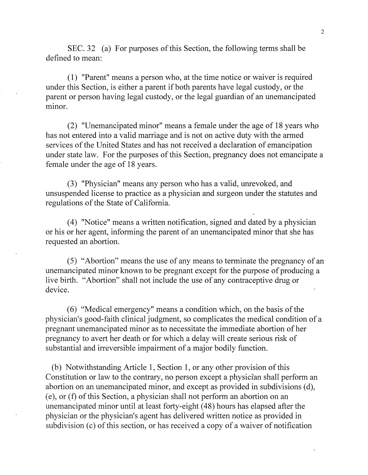SEC. 32 (a) For purposes of this Section, the following terms shall be defined to mean:

(1) "Parent" means a person who, at the time notice or waiver is required under this Section, is either a parent if both parents have legal custody, or the parent or person having legal custody, or the legal guardian of an unemancipated minor.

(2) "Unemancipated minor" means a female under the age of 18 years who has not entered into a valid marriage and is not on active duty with the armed services of the United States and has not received a declaration of emancipation under state law. For the purposes of this Section, pregnancy does not emancipate a female under the age of 18 years.

(3) "Physician" means any person who has a valid, unrevoked, and unsuspended license to practice as a physician and surgeon under the statutes and regulations of the State of California.

( 4) "Notice" means a written notification, signed and dated by a physician or his or her agent, informing the parent of an unemancipated minor that she has requested an abortion.

(5) "Abortion" means the use of any means to terminate the pregnancy of an unemancipated minor known to be pregnant except for the purpose of producing a live birth. "Abortion" shall not include the use of any contraceptive drug or device.

( 6) "Medical emergency" means a condition which, on the basis of the physician's good-faith clinical judgment, so complicates the medical condition of a pregnant unemancipated minor as to necessitate the immediate abortion of her pregnancy to avert her death or for which a delay will create serious risk of substantial and irreversible impairment of a major bodily function.

(b) Notwithstanding Article 1, Section 1, or any other provision of this Constitution or law to the contrary, no person except a physician shall perform an abortion on an unemancipated minor, and except as provided in subdivisions (d), (e), or (f) of this Section, a physician shall not perform an abortion on an unemancipated minor until at least forty-eight ( 48) hours has elapsed after the physician or the physician's agent has delivered written notice as provided in subdivision (c) of this section, or has received a copy of a waiver of notification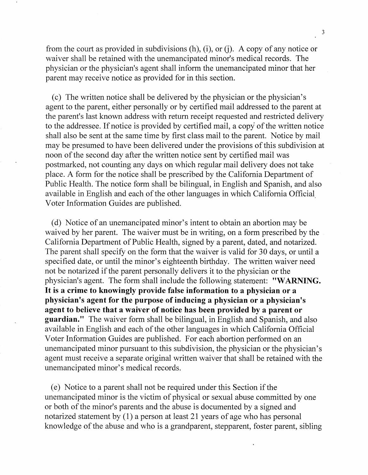from the court as provided in subdivisions  $(h)$ ,  $(i)$ , or  $(i)$ . A copy of any notice or waiver shall be retained with the unemancipated minor's medical records. The physician or the physician's agent shall inform the unemancipated minor that her parent may receive notice as provided for in this section.

(c) The written notice shall be delivered by the physician or the physician's agent to the parent, either personally or by certified mail addressed to the parent at the parent's last known address with return receipt requested and restricted delivery to the addressee. If notice is provided by certified mail, a copy of the written notice shall also be sent at the same time by first class mail to the parent. Notice by mail may be presumed to have been delivered under the provisions of this subdivision at noon of the second day after the written notice sent by certified mail was postmarked, not counting any days on which regular mail delivery does not take place. A form for the notice shall be prescribed by the California Department of Public Health. The notice form shall be bilingual, in English and Spanish, and also available in English and each of the other languages in which California Official\_ Voter Information Guides are published.

(d) Notice of an unemancipated minor's intent to obtain an abortion may be waived by her parent. The waiver must be in writing, on a form prescribed by the California Department of Public Health, signed by a parent, dated, and notarized. The parent shall specify on the form that the waiver is valid for 30 days, or until a specified date, or until the minor's eighteenth birthday. The written waiver need not be notarized if the parent personally delivers it to the physician or the physician's agent. The form shall include the following statement: **"WARNING. It is a crime to knowingly provide false information to a physician or a physician's agent for the purpose of inducing a physician or a physician's agent to believe that a waiver of notice has been provided by a parent or guardian."** The waiver form shall be bilingual, in English and Spanish, and also available in English and each of the other languages in which California Official Voter Information Guides are published. For each abortion performed on an unemancipated minor pursuant to this subdivision, the physician or the physician's agent must receive a separate original written waiver that shall be retained with the unemancipated minor's medical records.

(e) Notice to a parent shall not be required under this Section if the unemancipated minor is the victim of physical or sexual abuse committed by one or both of the minor's parents and the abuse is documented by a signed and notarized statement by  $(1)$  a person at least 21 years of age who has personal knowledge of the abuse and who is a grandparent, stepparent, foster parent, sibling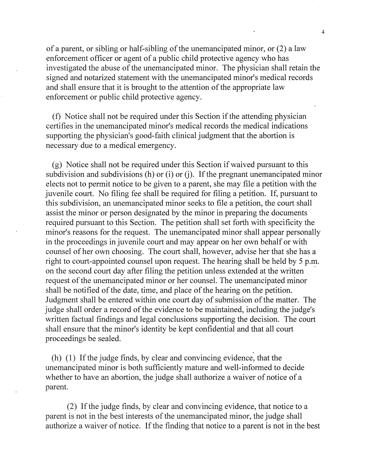of a parent, or sibling or half-sibling of the unemancipated minor, or (2) a law enforcement officer or agent of a public child protective agency who has investigated the abuse of the unemancipated minor. The physician shall retain the signed and notarized statement with the unemancipated minor's medical records and shall ensure that it is brought to the attention of the appropriate law enforcement or public child protective agency.

(f) Notice shall not be required under this Section if the attending physician certifies in the unemancipated minor's medical records the medical indications supporting the physician's good-faith clinical judgment that the abortion is necessary due to a medical emergency.

(g) Notice shall not be required under this Section if waived pursuant to this subdivision and subdivisions (h) or (i) or (j). If the pregnant unemancipated minor elects not to permit notice to be given to a parent, she may file a petition with the juvenile court. No filing fee shall be required for filing a petition. If, pursuant to this subdivision, an unemancipated minor seeks to file a petition, the court shall assist the minor or person designated by the minor in preparing the documents required pursuant to this Section. The petition shall set forth with specificity the minor's reasons for the request. The unemancipated minor shall appear personally in the proceedings in juvenile court and may appear on her own behalf or with counsel of her own choosing. The court shall, however, advise her that she has a right to court-appointed counsel upon request. The hearing shall be held by 5 p.m. on the second court day after filing the petition unless extended at the written request of the unemancipated minor or her counsel. The unemancipated minor shall be notified of the date, time, and place of the hearing on the petition. Judgment shall be entered within one court day of submission of the matter. The judge shall order a record of the evidence to be maintained, including the judge's written factual findings and legal conclusions supporting the decision. The court shall ensure that the minor's identity be kept confidential and that all court proceedings be sealed.

(h) (1) If the judge finds, by clear and convincing evidence, that the unemancipated minor is both sufficiently mature and well-informed to decide whether to have an abortion, the judge shall authorize a waiver of notice of a parent.

(2) If the judge finds, by clear and convincing evidence, that notice to a parent is not in the best interests of the unemancipated minor, the judge shall authorize a waiver of notice. If the finding that notice to a parent is not in the best

4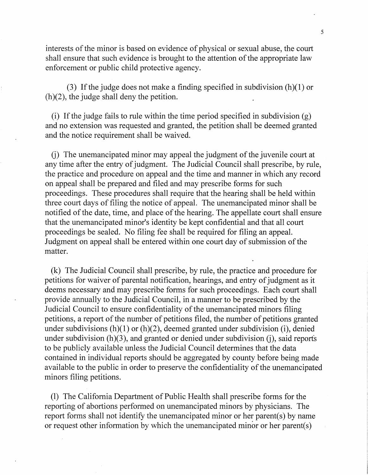interests of the minor is based on evidence of physical or sexual abuse, the court shall ensure that such evidence is brought to the attention of the appropriate law enforcement or public child protective agency.

(3) If the judge does not make a finding specified in subdivision  $(h)(1)$  or (h)(2), the judge shall deny the petition.

(i) If the judge fails to rule within the time period specified in subdivision (g) and no extension was requested and granted, the petition shall be deemed granted and the notice requirement shall be waived.

G) The unemancipated minor may appeal the judgment of the juvenile court at any time after the entry of judgment. The Judicial Council shall prescribe, by rule, the practice and procedure on appeal and the time and manner in which any record on appeal shall be prepared and filed and may prescribe forms for such proceedings. These procedures shall require that the hearing shall be held within three court days of filing the notice of appeal. The unemancipated minor shall be notified of the date, time, and place of the hearing. The appellate court shall ensure that the unemancipated minor's identity be kept confidential and that all court proceedings be sealed. No filing fee shall be required for filing an appeal. Judgment on appeal shall be entered within one court day of submission of the matter.

(k) The Judicial Council shall prescribe, by rule, the practice and procedure for petitions for waiver of parental notification, hearings, and entry of judgment as it deems necessary and may prescribe forms for such proceedings. Each court shall provide annually to the Judicial Council, in a manner to be prescribed by the Judicial Council to ensure confidentiality of the unemancipated minors filing petitions, a report of the number of petitions filed, the number of petitions granted under subdivisions  $(h)(1)$  or  $(h)(2)$ , deemed granted under subdivision (i), denied under subdivision  $(h)(3)$ , and granted or denied under subdivision  $(i)$ , said reports to be publicly available unless the Judicial Council determines that the data contained in individual reports should be aggregated by county before being made available to the public in order to preserve the confidentiality of the unemancipated minors filing petitions.

(1) The California Department of Public Health shall prescribe forms for the reporting of abortions performed on unemancipated minors by physicians. The report forms shall not identify the unemancipated minor or her parent(s) by name or request other information by which the unemancipated minor or her parent(s)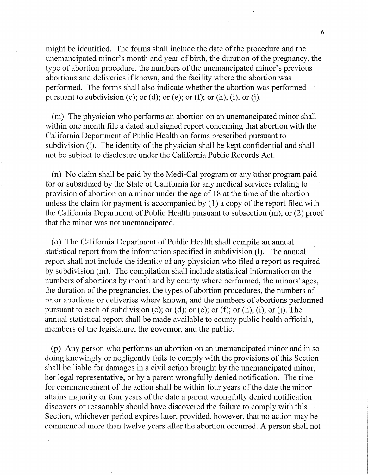might be identified. The forms shall include the date of the procedure and the unemancipated minor's month and year of birth, the duration of the pregnancy, the type of abortion procedure, the numbers of the unemancipated minor's previous abortions and deliveries if known, and the facility where the abortion was performed. The forms shall also indicate whether the abortion was performed pursuant to subdivision (c); or (d); or (e); or (f); or (h), (i), or (j).

(m) The physician who performs an abortion on an unemancipated minor shall within one month file a dated and signed report concerning that abortion with the California Department of Public Health on forms prescribed pursuant to subdivision (1). The identity of the physician shall be kept confidential and shall not be subject to disclosure under the California Public Records Act.

(n) No claim shall be paid by the Medi-Cal program or any other program paid for or subsidized by the State of California for any medical services relating to provision of abortion on a minor under the age of 18 at the time of the abortion unless the claim for payment is accompanied by (1) a copy of the report filed with the California Department of Public Health pursuant to subsection (m), or (2) proof that the minor was not unemancipated.

( o) The California Department of Public Health shall compile an annual statistical report from the information specified in subdivision (1). The annual report shall not include the identity of any physician who filed a report as required by subdivision (m). The compilation shall include statistical information on the numbers of abortions by month and by county where performed, the minors' ages, the duration of the pregnancies, the types of abortion procedures, the numbers of prior abortions or deliveries where known, and the numbers of abortions performed pursuant to each of subdivision (c); or (d); or (e); or (f); or (h), (i), or (j). The annual statistical report shall be made available to county public health officials, members of the legislature, the governor, and the public.

(p) Any person who performs an abortion on an unemancipated minor and in so doing knowingly or negligently fails to comply with the provisions of this Section shall be liable for damages in a civil action brought by the unemancipated minor, her legal representative, or by a parent wrongfully denied notification. The time for commencement of the action shall be within four years of the date the minor attains majority or four years of the date a parent wrongfully denied notification discovers or reasonably should have discovered the failure to comply with this . Section, whichever period expires later, provided, however, that no action may be commenced more than twelve years after the abortion occurred. A person shall not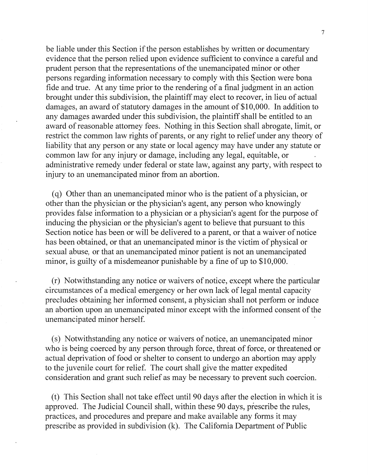be liable under this Section if the person establishes by written or documentary evidence that the person relied upon evidence sufficient to convince a careful and prudent person that the representations of the unemancipated minor or other persons regarding information necessary to comply with this Section were bona fide and true. At any time prior to the rendering of a final judgment in an action brought under this subdivision, the plaintiff may elect to recover, in lieu of actual damages, an award of statutory damages in the amount of \$10,000. In addition to any damages awarded under this subdivision, the plaintiff shall be entitled to an award of reasonable attorney fees. Nothing in this Section shall abrogate, limit, or restrict the common law rights of parents, or any right to relief under any theory of liability that any person or any state or local agency may have under any statute or common law for any injury or damage, including any legal, equitable, or administrative remedy under federal or state law, against any party, with respect to injury to an unemancipated minor from an abortion.

( q) Other than an unemancipated minor who is the patient of a physician, or other than the physician or the physician's agent, any person who knowingly provides false information to a physician or a physician's agent for the purpose of inducing the physician or the physician's agent to believe that pursuant to this Section notice has been or will be delivered to a parent, or that a waiver of notice has been obtained, or that an unemancipated minor is the victim of physical or sexual abuse, or that an unemancipated minor patient is not an unemancipated minor, is guilty of a misdemeanor punishable by a fine of up to \$10,000.

(r) Notwithstanding any notice or waivers of notice, except where the particular circumstances of a medical emergency or her own lack of legal mental capacity precludes obtaining her informed consent, a physician shall not perform or induce an abortion upon an unemancipated minor except with the informed consent of the unemancipated minor herself.

(s) Notwithstanding any notice or waivers of notice, an unemancipated minor who is being coerced by any person through force, threat of force, or threatened or actual deprivation of food or shelter to consent to undergo an abortion may apply to the juvenile court for relief. The court shall give the matter expedited consideration and grant such relief as may be necessary to prevent such coercion.

(t) This Section shall not take effect until 90 days after the election in which it is approved. The Judicial Council shall, within these 90 days, prescribe the rules, practices, and procedures and prepare and make available any forms it may prescribe as provided in subdivision (k). The California Department of Public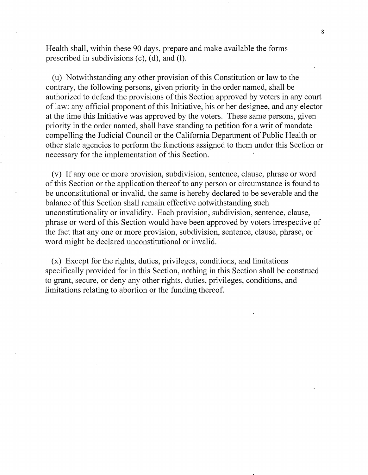Health shall, within these 90 days, prepare and make available the forms prescribed in subdivisions (c), (d), and (1).

(u) Notwithstanding any other provision of this Constitution or law to the contrary, the following persons, given priority in the order named, shall be authorized to defend the provisions of this Section approved by voters in any court of law: any official proponent of this Initiative, his or her designee, and any elector at the time this Initiative was approved by the voters. These same persons, given priority in the order named, shall have standing to petition for a writ of mandate compelling the Judicial Council or the California Department of Public Health or other state agencies to perform the functions assigned to them under this Section or necessary for the implementation of this Section.

( v) If any one or more provision, subdivision, sentence, clause, phrase or word of this Section or the application thereof to any person or circumstance is found to be unconstitutional or invalid, the same is hereby declared to be severable and the balance of this Section shall remain effective notwithstanding such unconstitutionality or invalidity. Each provision, subdivision, sentence, clause, phrase or word of this Section would have been approved by voters irrespective of the fact that any one or more provision, subdivision, sentence, clause, phrase, or · word might be declared unconstitutional or invalid.

(x) Except for the rights, duties, privileges, conditions, and limitations specifically provided for in this Section, nothing in this Section shall be construed to grant, secure, or deny any other rights, duties, privileges, conditions, and limitations relating to abortion or the funding thereof.